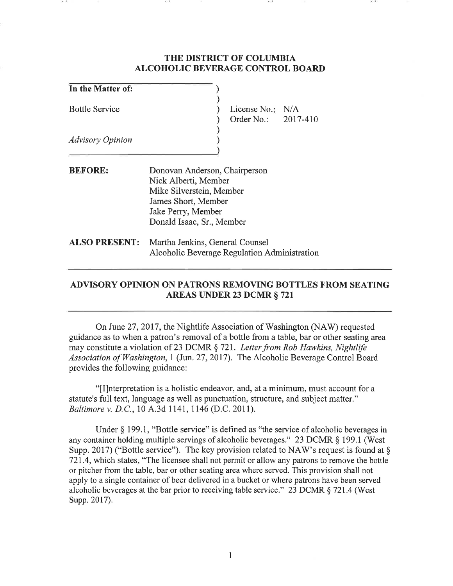## **THE DISTRICT OF COLUMBIA ALCOHOLIC BEVERAGE CONTROL BOARD**

| In the Matter of:       |                                                                                                                                                             |
|-------------------------|-------------------------------------------------------------------------------------------------------------------------------------------------------------|
| <b>Bottle Service</b>   | License No.: $N/A$<br>Order No.: 2017-410                                                                                                                   |
| <b>Advisory Opinion</b> |                                                                                                                                                             |
| <b>BEFORE:</b>          | Donovan Anderson, Chairperson<br>Nick Alberti, Member<br>Mike Silverstein, Member<br>James Short, Member<br>Jake Perry, Member<br>Donald Isaac, Sr., Member |
| <b>ALSO PRESENT:</b>    | Martha Jenkins, General Counsel<br>Alcoholic Beverage Regulation Administration                                                                             |

## **ADVISORY OPINION ON PATRONS REMOVING BOTTLES FROM SEATING AREAS UNDER 23 DCMR** § **721**

On June 27, 2017, the Nightlife Association of Washington (NAW) requested guidance as to when a patron's removal of a bottle from a table, bar or other seating area may constitute a violation of 23 DCMR § 721. *Letter from Rob Hawkins, Nightlife Association of Washington,* l (Jun. 27, 2017). The Alcoholic Beverage Control Board provides the following guidance:

"[I]nterpretation is a holistic endeavor, and, at a minimum, must account for a statute's full text, language as well as punctuation, structure, and subject matter." *Baltimore v.* D.C., 10 A.3d 1141, 1146 (D.C. 2011).

Under  $\S$  199.1, "Bottle service" is defined as "the service of alcoholic beverages in any container holding multiple servings of alcoholic beverages." 23 DCMR § 199.1 (West Supp. 2017) ("Bottle service"). The key provision related to NAW's request is found at  $\S$ 721.4, which states, "The licensee shall not permit or allow any patrons to remove the bottle or pitcher from the table, bar or other seating area where served. This provision shall not apply to a single container of beer delivered in a bucket or where patrons have been served alcoholic beverages at the bar prior to receiving table service." 23 DCMR § 721.4 (West Supp. 2017).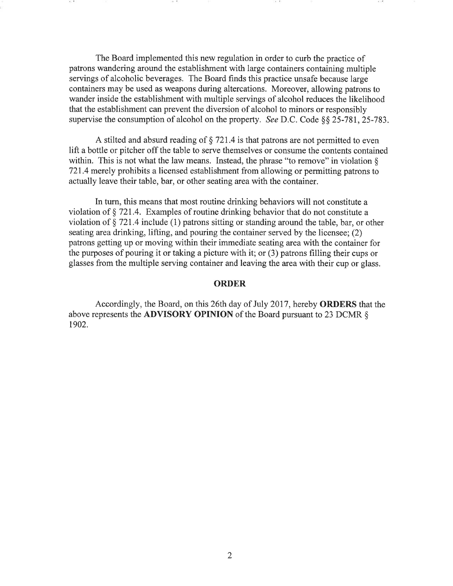The Board implemented this new regulation in order to curb the practice of patrons wandering around the establishment with large containers containing multiple servings of alcoholic beverages. The Board finds this practice unsafe because large containers may be used as weapons during altercations. Moreover, allowing patrons to wander inside the establishment with multiple servings of alcohol reduces the likelihood that the establishment can prevent the diversion of alcohol to minors or responsibly supervise the consumption of alcohol on the property. *See* D.C. Code§§ 25-781, 25-783.

A stilted and absurd reading of  $\S$  721.4 is that patrons are not permitted to even lift a bottle or pitcher off the table to serve themselves or consume the contents contained within. This is not what the law means. Instead, the phrase "to remove" in violation  $\delta$ 721.4 merely prohibits a licensed establishment from allowing or permitting patrons to actually leave their table, bar, or other seating area with the container.

In turn, this means that most routine drinking behaviors will not constitute a violation of§ 721.4. Examples of routine drinking behavior that do not constitute a violation of§ 721.4 include (1) patrons sitting or standing around the table, bar, or other seating area drinking, lifting, and pouring the container served by the licensee; (2) patrons getting up or moving within their immediate seating area with the container for the purposes of pouring it or taking a picture with it; or (3) patrons filling their cups or glasses from the multiple serving container and leaving the area with their cup or glass.

## **ORDER**

Accordingly, the Board, on this 26th day of July 2017, hereby **ORDERS** that the above represents the **ADVISORY OPINION** of the Board pursuant to 23 DCMR § 1902.